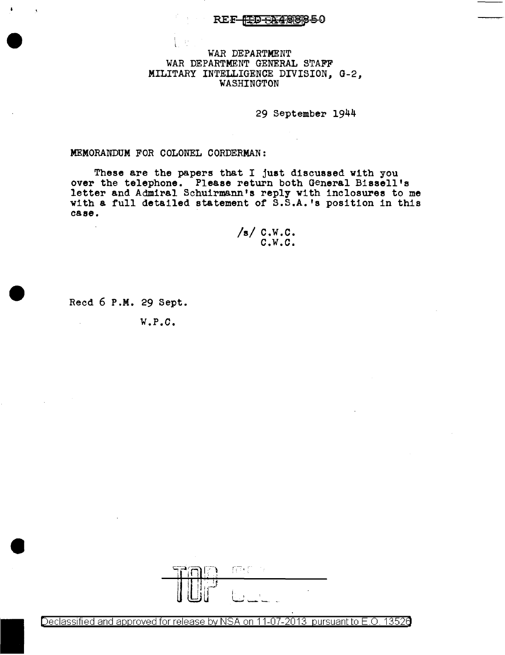## REF<del>-FED SA48</del>888-0

# WAR DEPARTMENT WAR DEPARTMENT GENERAL STAFF MILITARY INTELLIGENCE DIVISION, G-2, WASHINGTON

29 September 1944

### MEMORANDUM FOR COLONEL CORDERMAN:

These are the papers that I just discussed with you over the telephone. Please return both General Bissell's letter and Admiral Schuirmann's reply with inclosures to me with a full detailed statement of S.S.A.'s position in this case.

/s/ c.w.c. c.w.c.

Recd 6 P.M. 29 Sept.

 $\mathcal{L}_{\text{eff}}$ 

W.P.C.



Declassified and approved for release by NSA on 11-07-2013 pursuant to E.O. 13526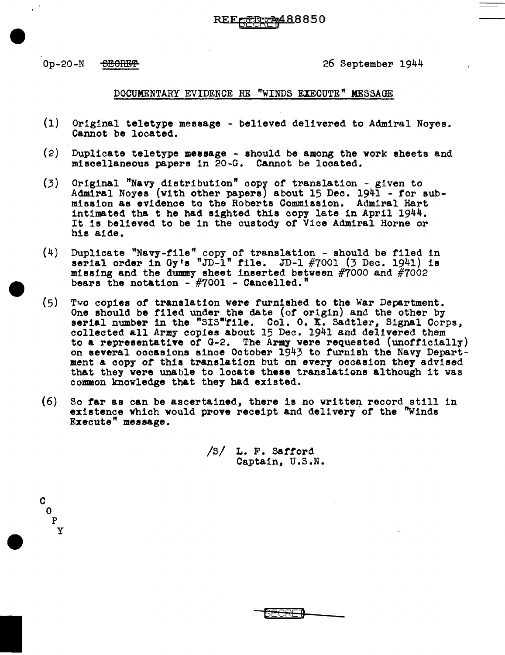c 0 p y

## Op-20-N <del>SEORET</del> 26 September 1944

### DOCUMENTARY EVIDENCE RE "WINDS EXECUTE" MESSAGE

REF<del>el</del>Be-A488850

- (1) Original teletype message - believed delivered to Admiral Noyes. Cannot be located.
- (2) Duplicate teletype message - should be among the vork sheets and miscellaneous papers 1n 20-G. Cannot be located.
- (3) Original "Navy distribution" copr of translation - given to Admiral Noyes (with other papers) about 15 Dec. 1941 - for submission as evidence to the Roberts Commission. Admiral Hart intimated tha t he h&d sighted this copy late in April 1944. It is believed to be in the custody or Vice Admiral Horne or his aide.
- $(4)$ Duplicate "Navy-file" copy of translation - should be filed in serial order in Gy's "JD-1" file. JD-1 #7001 (3 Dec. 1941) is missing and the dummy sheet inserted between #7000 and #7002 bears the notation  $-$  #7001 - Cancelled."
- (5) Two copies of translation were furnished to the War Department.<br>One should be filed under the date (of origin) and the other by<br>serial number in the "SIS"file. Col. O. K. Sadtler, Signal Corps,<br>collected all Army copies ab to a representative of G-2. The Army were requested (unofficially) on several occasions since October 1943 to furnish the Navy Department a copy of this translation but on every occasion they advised that they were unable to locate these translations although it was common knowledge that they had existed.
- (6) So far as can be ascertained, there is no written record still in existence which would prove receipt and delivery of the "Winds Execute" message.

/s/ L. F. Safford Captain, U.S.N.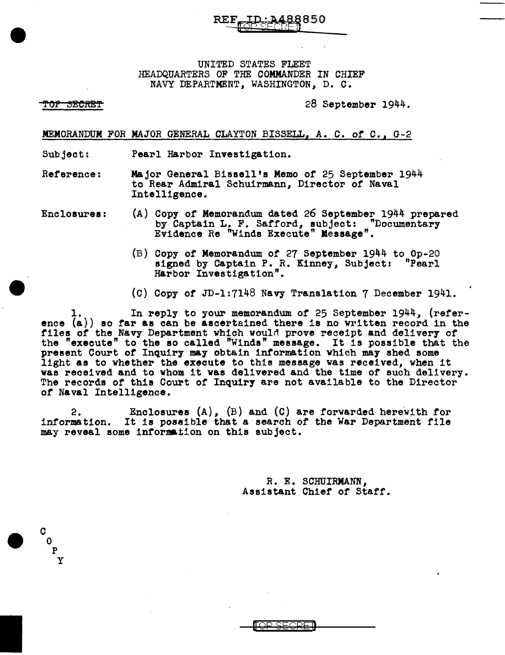UNITED STATES FLEET HEADQUARTERS OF THE COMMANDER IN CHIEF NAVY DEPARTMENT, WASHINGTON, D. C.

#### <del>TOP SECRET</del>

c 0 p y 28 September 1944.

MEMORANDUM *FOR* MAJOR GENERAL CLAYTON BISSELL, A. C. *of* C. <sup>1</sup>G-2

Subject: Pearl Harbor Investigation.

Reference: Major General Bissell's Memo of 25 September 1944 to Rear Admiral Schuirmann, Director or Naval Intelligence.

- Enclosures: (A) Copy of Memorandum dated 26 September 1944 prepared by Captain L. F. Safford, subject: "Documentary Evidence Re "Winds Execute" Kessage".
	- (B) Copy of Memorandum of 27 September 1944 to Op-20 signed by Captain P. R. Kinney, Subject: "Pearl Harbor Investigation".
	- (C) Copy of JD-1:7148 Navy Translation 7 December 1941.

In reply to your memorandum of 25 September 1944, (reference (a)) so far as can be ascertained there is no written record in the files of the Navy Department which would prove receipt and delivery of the "execute" to the so called "Winds" message. It is possible that the present Court *of* Inquiry may obtain information which may shed some light as to whether the execute to this message was received, when it was received and to whom it was delivered and the time of such delivery.<br>The records of this Court of Inquiry are not available to the Director *of* Naval Intelligence.

2. Enclosures  $(A)$ ,  $(B)$  and  $(C)$  are forwarded herewith for information. It is possible that a search of the War Department file It is possible that a search of the War Department file may reveal some information on this subject.

> *R.* E. SCHUIRMANN, Assistant Chief of Staff.

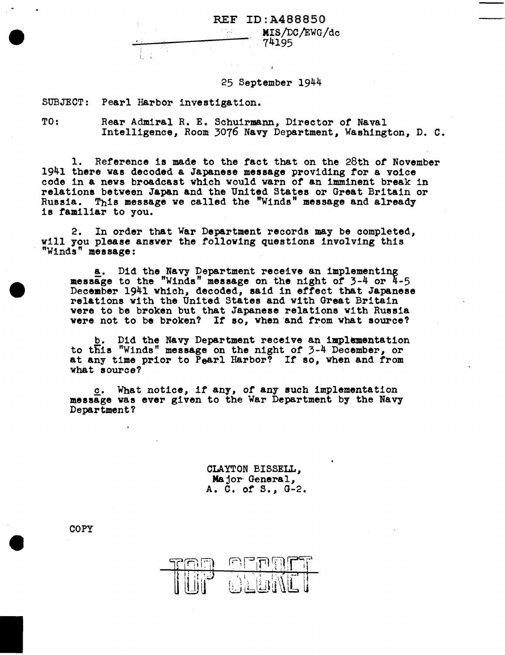REF ID:A488850

MIS/DC/EWG/dc 74195

25 September 1944

SUBJECT: Pearl Harbor investigation.

TO: Rear Admiral R. E. Schuirmann, Director of Naval Intelligence, Room 3076 Navy Department, Washington, D. C.

r eller

1. Reference is made to the fact that on the 28th *or* November 1941 there was decoded a Japanese message providing for a voice code in a news broadcast which would warn or an imminent break in relations between Japan and the United States or Great Britain or Russia. This message we called the "Winds" message and already is familiar to you.

2. In order that War Department records may be completed, will you please answer the following questions involving this "Winds" message:

a. Did the Navy Department receive an implementing message to the "Winds" message on the night or 3-4 or 4-5 December 1941 which, decoded, said in effect that Japanese relations with the United States and with Great Britain were to be broken but that Japanese relations with Russia were not to be broken? If so, when and from what source?

Did the Navy Department receive an implementation to this "Winds" message on the night of 3-4 December, or at any time prior to Pearl Harbor? If so, when and from what source?

c. What notice, if any, of any such implementation message was ever given to the War Department by the Navy Department?

> CLAYTON BISSELL, Major General, A. C. of S., G-2.



**COPY**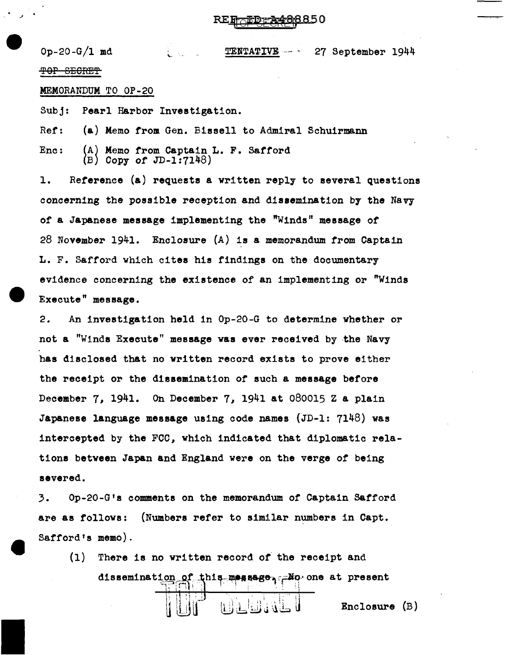$Op-20-G/1$  md TENTATIVE --  $\sim$  27 September 1944 TOP SECRET

MEMORANDUM TO OP-20

Subj: Pearl Harbor Investigation.

Ref: (a) Memo from Gen. Bissell to Admiral Schuirmann

Enc:  $(A)$  Memo from Captain L. F. Safford Copy of JD-1:7148)

1. Reference (a) requests a written reply to several questions concerning the possible reception and dissemination by the Navy of a Japanese message implementing the "Winds" message of 28 November 1941. Enclosure (A) is a memorandum from Captain L. F. Safford which cites his findings on the documentary evidence concerning the existence of an implementing or "Winds Execute" message.

2. An investigation held in Op-20-G to determine whether or not a "Winds Execute" message was ever received by -the Navy has disclosed that no written record exists to prove either the receipt or the dissemination or such a message before December 7, 1941. On December 7, 1941 at 080015 Z a plain Japanese language message using code names (JD-1: 7148) was intercepted by the FCC, which indicated that diplomatic relations between Japan and England were on the verge *of* being severed.

3. Op-20-G'a comments on the memorandum of Captain Safford are as follows: (Numbers refer to similar numbers in Capt. Safford's memo).

(1) There is no written record of the receipt and dissemination of this message, and one at present لله فالطافا (لما Enclosure (B)